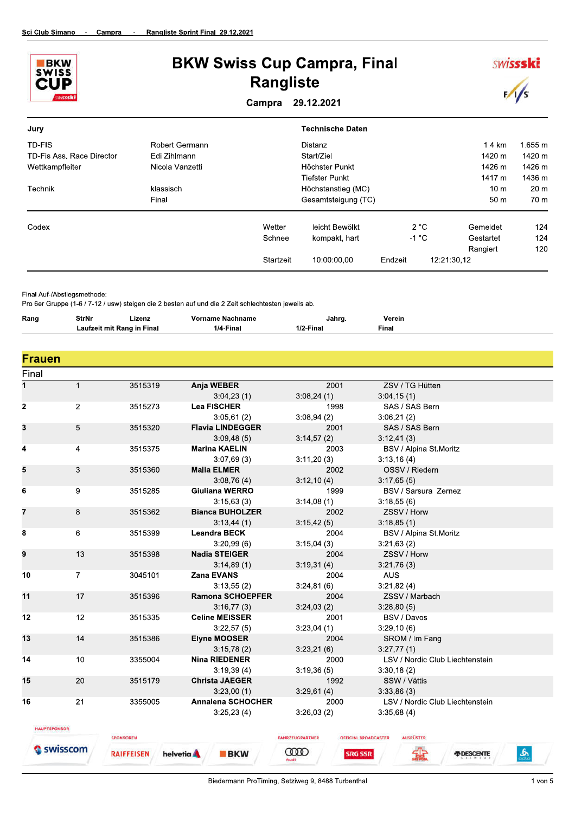



Final Auf-/Abstiegsmethode:

Pro 6er Gruppe (1-6 / 7-12 / usw) steigen die 2 besten auf und die 2 Zeit schlechtesten jeweils ab.

| Rang | <b>.</b><br>StrNr<br>- - - - - - | Lizenz.<br>_____ | nname<br>name:<br>≅Nac. | Janro.     | Verein<br>. |
|------|----------------------------------|------------------|-------------------------|------------|-------------|
|      | mıl<br>autze                     | Final<br>Ranc    | Final<br>''             | .<br>Fina⊾ | Final       |

| <b>Frauen</b><br>Final |                |                   |                          |                        |                                                 |
|------------------------|----------------|-------------------|--------------------------|------------------------|-------------------------------------------------|
| 1                      | $\mathbf{1}$   | 3515319           | Anja WEBER               | 2001                   | ZSV / TG Hütten                                 |
|                        |                |                   | 3:04,23(1)               | 3:08,24(1)             | 3:04,15(1)                                      |
| $\mathbf 2$            | $\overline{2}$ | 3515273           | <b>Lea FISCHER</b>       | 1998                   | SAS / SAS Bern                                  |
|                        |                |                   | 3:05,61(2)               | 3:08,94(2)             | 3:06,21(2)                                      |
| 3                      | 5              | 3515320           | <b>Flavia LINDEGGER</b>  | 2001                   | SAS / SAS Bern                                  |
|                        |                |                   | 3:09,48(5)               | 3:14,57(2)             | 3.12,41(3)                                      |
| 4                      | 4              | 3515375           | <b>Marina KAELIN</b>     | 2003                   | BSV / Alpina St.Moritz                          |
|                        |                |                   | 3:07,69(3)               | 3:11,20(3)             | 3:13,16(4)                                      |
| 5                      | 3              | 3515360           | <b>Malia ELMER</b>       | 2002                   | OSSV / Riedern                                  |
|                        |                |                   | 3:08,76(4)               | 3:12,10(4)             | 3:17,65(5)                                      |
| 6                      | 9              | 3515285           | Giuliana WERRO           | 1999                   | BSV / Sarsura Zernez                            |
|                        |                |                   | 3:15,63(3)               | 3:14,08(1)             | 3:18,55(6)                                      |
| 7                      | 8              | 3515362           | <b>Bianca BUHOLZER</b>   | 2002                   | ZSSV / Horw                                     |
|                        |                |                   | 3:13,44(1)               | 3:15,42(5)             | 3:18,85(1)                                      |
| 8                      | 6              | 3515399           | <b>Leandra BECK</b>      | 2004                   | BSV / Alpina St.Moritz                          |
|                        |                |                   | 3:20,99(6)               | 3:15,04(3)             | 3:21,63(2)                                      |
| 9                      | 13             | 3515398           | <b>Nadia STEIGER</b>     | 2004                   | ZSSV / Horw                                     |
|                        |                |                   | 3:14,89(1)               | 3:19,31(4)             | 3:21,76(3)                                      |
| 10                     | $\overline{7}$ | 3045101           | Zana EVANS               | 2004                   | <b>AUS</b>                                      |
|                        |                |                   | 3:13,55(2)               | 3:24,81(6)             | 3:21,82(4)                                      |
| 11                     | 17             | 3515396           | <b>Ramona SCHOEPFER</b>  | 2004                   | ZSSV / Marbach                                  |
|                        |                |                   | 3:16,77(3)               | 3:24,03(2)             | 3:28,80(5)                                      |
| 12                     | 12             | 3515335           | <b>Celine MEISSER</b>    | 2001                   | BSV / Davos                                     |
|                        |                |                   | 3:22,57(5)               | 3:23,04(1)             | 3:29,10(6)                                      |
| 13                     | 14             | 3515386           | <b>Elyne MOOSER</b>      | 2004                   | SROM / Im Fang                                  |
|                        |                |                   | 3:15,78(2)               | 3:23,21(6)             | 3:27,77(1)                                      |
| 14                     | 10             | 3355004           | <b>Nina RIEDENER</b>     | 2000                   | LSV / Nordic Club Liechtenstein                 |
|                        |                |                   | 3:19,39(4)               | 3:19.36(5)             | 3:30,18(2)                                      |
| 15                     | 20             | 3515179           | <b>Christa JAEGER</b>    | 1992                   | SSW / Vättis                                    |
|                        |                |                   | 3:23,00(1)               | 3:29,61(4)             | 3.33,86(3)                                      |
| 16                     | 21             | 3355005           | <b>Annalena SCHOCHER</b> | 2000                   | LSV / Nordic Club Liechtenstein                 |
|                        |                |                   | 3:25,23(4)               | 3:26,03(2)             | 3:35,68(4)                                      |
| <b>HAUPTSPONSOR</b>    |                |                   |                          |                        |                                                 |
|                        |                | <b>SPONSOREN</b>  |                          | <b>FAHRZEUGPARTNER</b> | <b>OFFICIAL BROADCASTER</b><br><b>AUSRÜSTER</b> |
|                        | swisscom       | <b>RAIFFEISEN</b> | helvetia A<br><b>BKW</b> | ത്ത<br><b>SRG SSR</b>  | ۿ<br><b><i>A</i></b> DESCENTE                   |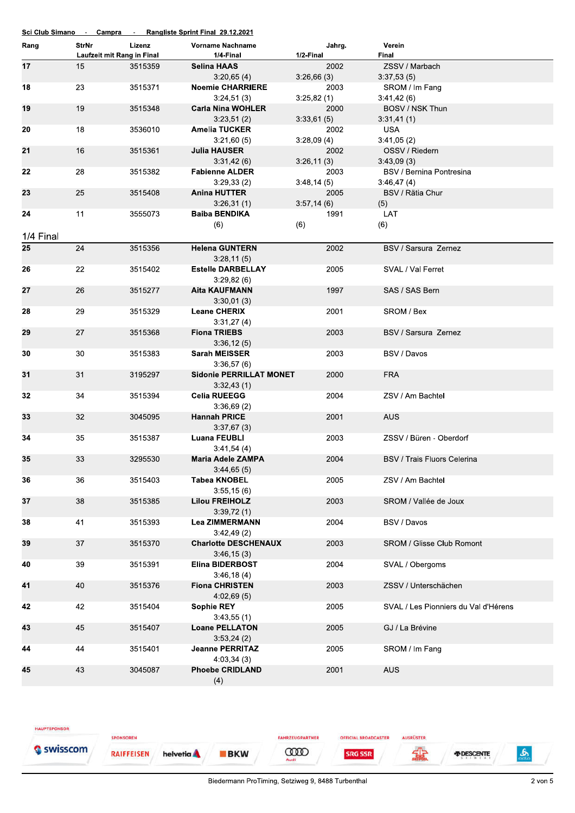|           |                                     |         | <u>Sci Club Simano - Campra - Rangliste Sprint Final 29.12.2021</u> |            |        |                                      |
|-----------|-------------------------------------|---------|---------------------------------------------------------------------|------------|--------|--------------------------------------|
| Rang      | StrNr<br>Laufzeit mit Rang in Final | Lizenz  | <b>Vorname Nachname</b><br>1/4-Final                                | 1/2-Final  | Jahrg. | Verein<br>Final                      |
| 17        | 15                                  | 3515359 | <b>Selina HAAS</b>                                                  |            | 2002   | ZSSV / Marbach                       |
|           |                                     |         | 3:20,65(4)                                                          | 3:26,66(3) |        | 3:37,53(5)                           |
| 18        | 23                                  | 3515371 | <b>Noemie CHARRIERE</b><br>3:24,51(3)                               |            | 2003   | SROM / Im Fang                       |
| 19        | 19                                  | 3515348 | <b>Carla Nina WOHLER</b>                                            | 3:25,82(1) | 2000   | 3:41,42(6)<br>BOSV / NSK Thun        |
|           |                                     |         | 3:23,51(2)                                                          | 3:33,61(5) |        | 3:31,41(1)                           |
| 20        | 18                                  | 3536010 | <b>Amelia TUCKER</b>                                                |            | 2002   | <b>USA</b>                           |
|           |                                     |         | 3:21,60(5)                                                          |            |        | 3:41,05(2)                           |
| 21        | 16                                  | 3515361 | <b>Julia HAUSER</b>                                                 | 3:28,09(4) | 2002   | OSSV / Riedern                       |
|           |                                     |         | 3:31,42(6)                                                          | 3:26,11(3) |        | 3:43,09(3)                           |
| 22        | 28                                  | 3515382 | <b>Fabienne ALDER</b>                                               |            | 2003   | BSV / Bernina Pontresina             |
|           |                                     |         | 3:29,33(2)                                                          | 3:48,14(5) |        | 3:46,47(4)                           |
| 23        | 25                                  | 3515408 | <b>Anina HUTTER</b>                                                 |            | 2005   | BSV / Rätia Chur                     |
|           |                                     |         | 3:26,31(1)                                                          | 3:57,14(6) |        | (5)                                  |
| 24        | 11                                  | 3555073 | <b>Baiba BENDIKA</b>                                                |            | 1991   | LAT                                  |
|           |                                     |         | (6)                                                                 | (6)        |        | (6)                                  |
| 1/4 Final |                                     |         |                                                                     |            |        |                                      |
| 25        | 24                                  | 3515356 | <b>Helena GUNTERN</b>                                               |            | 2002   | BSV / Sarsura Zernez                 |
|           |                                     |         | 3:28,11(5)                                                          |            |        |                                      |
| 26        | 22                                  | 3515402 | <b>Estelle DARBELLAY</b>                                            |            | 2005   | SVAL / Val Ferret                    |
|           |                                     |         | 3:29,82(6)                                                          |            |        |                                      |
| 27        | 26                                  | 3515277 | <b>Aita KAUFMANN</b>                                                |            | 1997   | SAS / SAS Bern                       |
|           |                                     |         | 3:30,01(3)                                                          |            |        |                                      |
| 28        | 29                                  | 3515329 | <b>Leane CHERIX</b>                                                 |            | 2001   | SROM / Bex                           |
|           |                                     |         | 3:31,27(4)                                                          |            |        |                                      |
| 29        | 27                                  | 3515368 | <b>Fiona TRIEBS</b>                                                 |            | 2003   | BSV / Sarsura Zernez                 |
|           |                                     |         | 3:36,12(5)                                                          |            |        |                                      |
| 30        | 30                                  | 3515383 | <b>Sarah MEISSER</b>                                                |            | 2003   | BSV / Davos                          |
|           |                                     |         | 3:36,57(6)                                                          |            |        |                                      |
| 31        | 31                                  | 3195297 | <b>Sidonie PERRILLAT MONET</b>                                      |            | 2000   | <b>FRA</b>                           |
|           |                                     |         | 3:32,43(1)                                                          |            |        |                                      |
| 32        | 34                                  | 3515394 | <b>Celia RUEEGG</b><br>3:36,69(2)                                   |            | 2004   | ZSV / Am Bachtel                     |
| 33        | 32                                  | 3045095 | <b>Hannah PRICE</b>                                                 |            | 2001   | <b>AUS</b>                           |
|           |                                     |         | 3:37,67(3)                                                          |            |        |                                      |
| 34        | 35                                  | 3515387 | <b>Luana FEUBLI</b>                                                 |            | 2003   | ZSSV / Büren - Oberdorf              |
|           |                                     |         | 3:41,54(4)                                                          |            |        |                                      |
| 35        | 33                                  | 3295530 | <b>Maria Adele ZAMPA</b>                                            |            | 2004   | BSV / Trais Fluors Celerina          |
|           |                                     |         | 3:44,65(5)                                                          |            |        |                                      |
| 36        | 36                                  | 3515403 | <b>Tabea KNOBEL</b>                                                 |            | 2005   | ZSV / Am Bachtel                     |
|           |                                     |         | 3:55,15(6)                                                          |            |        |                                      |
| 37        | 38                                  | 3515385 | <b>Lilou FREIHOLZ</b>                                               |            | 2003   | SROM / Vallée de Joux                |
|           |                                     |         | 3:39,72(1)                                                          |            |        |                                      |
| 38        | 41                                  | 3515393 | <b>Lea ZIMMERMANN</b>                                               |            | 2004   | BSV / Davos                          |
|           |                                     |         | 3:42,49(2)                                                          |            |        |                                      |
| 39        | 37                                  | 3515370 | <b>Charlotte DESCHENAUX</b>                                         |            | 2003   | <b>SROM / Glisse Club Romont</b>     |
|           |                                     |         | 3:46,15(3)                                                          |            |        |                                      |
| 40        | 39                                  | 3515391 | <b>Elina BIDERBOST</b><br>3:46,18(4)                                |            | 2004   | SVAL / Obergoms                      |
| 41        | 40                                  | 3515376 | <b>Fiona CHRISTEN</b>                                               |            | 2003   | ZSSV / Unterschächen                 |
|           |                                     |         | 4:02,69(5)                                                          |            |        |                                      |
| 42        | 42                                  | 3515404 | <b>Sophie REY</b>                                                   |            | 2005   | SVAL / Les Pionniers du Val d'Hérens |
|           |                                     |         | 3:43,55(1)                                                          |            |        |                                      |
| 43        | 45                                  | 3515407 | <b>Loane PELLATON</b>                                               |            | 2005   | GJ / La Brévine                      |
|           |                                     |         | 3:53,24(2)                                                          |            |        |                                      |
| 44        | 44                                  | 3515401 | <b>Jeanne PERRITAZ</b>                                              |            | 2005   | SROM / Im Fang                       |
|           |                                     |         | 4:03,34(3)                                                          |            |        |                                      |
| 45        | 43                                  | 3045087 | <b>Phoebe CRIDLAND</b>                                              |            | 2001   | <b>AUS</b>                           |
|           |                                     |         | (4)                                                                 |            |        |                                      |

**RAIFFEISEN** 

**SPONSOREN** 

helvetia **A BKW**  **FAHRZEUGPARTNER CODO** 

**OFFICIAL BROADCASTER** 

**SRG SSR** 

AUSRÜSTER

**SHE** 



 $\frac{2}{\sqrt{2}}$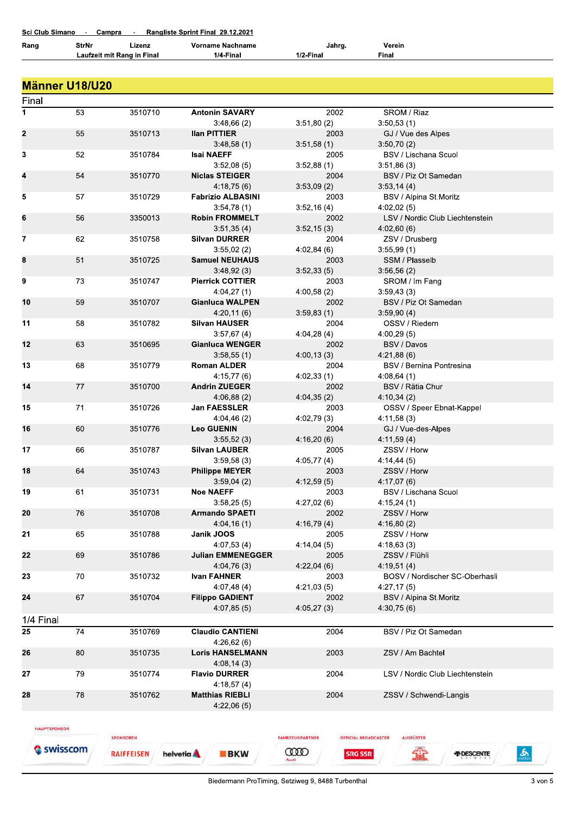| Rang        | <b>StrNr</b>   | Lizenz<br>Laufzeit mit Rang in Final | <b>Vorname Nachname</b><br>1/4-Final | Jahrg.<br>1/2-Final | Verein<br><b>Final</b>                 |
|-------------|----------------|--------------------------------------|--------------------------------------|---------------------|----------------------------------------|
|             |                |                                      |                                      |                     |                                        |
|             | Männer U18/U20 |                                      |                                      |                     |                                        |
| Final       |                |                                      |                                      |                     |                                        |
| 1           | 53             | 3510710                              | <b>Antonin SAVARY</b>                | 2002                | SROM / Riaz                            |
|             |                |                                      | 3:48,66(2)                           | 3:51,80(2)          | 3:50,53(1)                             |
| $\mathbf 2$ | 55             | 3510713                              | <b>Ilan PITTIER</b>                  | 2003                | GJ / Vue des Alpes                     |
|             |                |                                      | 3:48,58(1)                           | 3:51,58(1)          | 3:50,70(2)                             |
| 3           | 52             | 3510784                              | <b>Isai NAEFF</b>                    | 2005                | <b>BSV / Lischana Scuol</b>            |
|             |                |                                      | 3:52,08(5)                           | 3:52,88(1)          | 3:51,86(3)                             |
| 4           | 54             | 3510770                              | <b>Niclas STEIGER</b>                | 2004                | BSV / Piz Ot Samedan                   |
|             |                |                                      | 4:18,75(6)                           | 3:53,09(2)          | 3.53, 14(4)                            |
| 5           | 57             | 3510729                              | <b>Fabrizio ALBASINI</b>             | 2003                | BSV / Alpina St.Moritz                 |
|             |                |                                      | 3:54,78(1)                           | 3:52,16(4)          | 4:02,02(5)                             |
| 6           | 56             | 3350013                              | <b>Robin FROMMELT</b>                | 2002                | LSV / Nordic Club Liechtenstein        |
|             |                |                                      | 3:51,35(4)                           | 3:52,15(3)          | 4:02,60(6)                             |
| 7           | 62             | 3510758                              | <b>Silvan DURRER</b>                 | 2004                | ZSV / Drusberg                         |
|             |                |                                      | 3:55,02(2)                           | 4:02,84(6)          | 3:55,99(1)                             |
| 8           | 51             | 3510725                              | <b>Samuel NEUHAUS</b>                | 2003                | SSM / Plasselb                         |
|             |                |                                      | 3:48,92(3)                           | 3:52,33(5)          | 3.56,56(2)                             |
| 9           | 73             | 3510747                              | <b>Pierrick COTTIER</b>              | 2003                | SROM / Im Fang                         |
|             |                |                                      | 4:04,27(1)                           | 4:00,58(2)          | 3:59,43(3)                             |
| 10          | 59             | 3510707                              | <b>Gianluca WALPEN</b>               | 2002                | BSV / Piz Ot Samedan                   |
|             |                |                                      | 4:20,11(6)                           | 3:59,83(1)          | 3:59,90(4)                             |
| 11          | 58             | 3510782                              | <b>Silvan HAUSER</b>                 | 2004                | OSSV / Riedern                         |
| 12          |                |                                      | 3:57,67(4)                           | 4:04,28 (4)<br>2002 | 4:00,29(5)                             |
|             | 63             | 3510695                              | <b>Gianluca WENGER</b>               |                     | BSV / Davos                            |
| 13          | 68             | 3510779                              | 3:58,55(1)<br><b>Roman ALDER</b>     | 4:00,13(3)<br>2004  | 4:21,88(6)<br>BSV / Bernina Pontresina |
|             |                |                                      | 4:15,77(6)                           | 4:02,33(1)          | 4:08,64(1)                             |
| 14          | 77             | 3510700                              | <b>Andrin ZUEGER</b>                 | 2002                | BSV / Rätia Chur                       |
|             |                |                                      | 4:06,88(2)                           | 4:04,35(2)          | 4:10,34(2)                             |
| 15          | 71             | 3510726                              | <b>Jan FAESSLER</b>                  | 2003                | OSSV / Speer Ebnat-Kappel              |
|             |                |                                      | 4:04,46(2)                           | 4:02,79 (3)         | 4:11,58(3)                             |
| 16          | 60             | 3510776                              | <b>Leo GUENIN</b>                    | 2004                | GJ / Vue-des-Alpes                     |
|             |                |                                      | 3:55,52(3)                           | 4:16,20(6)          | 4:11,59(4)                             |
| 17          | 66             | 3510787                              | <b>Silvan LAUBER</b>                 | 2005                | ZSSV / Horw                            |
|             |                |                                      | 3:59,58(3)                           | 4:05,77(4)          | 4:14,44(5)                             |
| 18          | 64             | 3510743                              | <b>Philippe MEYER</b>                | 2003                | ZSSV / Horw                            |
|             |                |                                      | 3:59,04(2)                           | 4:12,59 (5)         | 4:17,07 (6)                            |
| 19          | 61             | 3510731                              | <b>Noe NAEFF</b>                     | 2003                | <b>BSV / Lischana Scuol</b>            |
|             |                |                                      | 3:58.25(5)                           | 4:27.02(6)          | 4:15.24(1)                             |

| 23        | 70 | 3510732 | <b>Ivan FAHNER</b>      | 2003       | BOSV / Nordischer SC-Oberhasli  |  |
|-----------|----|---------|-------------------------|------------|---------------------------------|--|
|           |    |         | 4:07,48(4)              | 4:21.03(5) | 4:27,17(5)                      |  |
| 24        | 67 | 3510704 | <b>Filippo GADIENT</b>  | 2002       | BSV / Alpina St.Moritz          |  |
|           |    |         | 4:07,85(5)              | 4:05.27(3) | 4:30,75(6)                      |  |
| 1/4 Final |    |         |                         |            |                                 |  |
| 25        | 74 | 3510769 | <b>Claudio CANTIENI</b> | 2004       | BSV / Piz Ot Samedan            |  |
|           |    |         | 4:26,62(6)              |            |                                 |  |
| 26        | 80 | 3510735 | <b>Loris HANSELMANN</b> | 2003       | ZSV / Am Bachtel                |  |
|           |    |         | 4:08,14(3)              |            |                                 |  |
| 27        | 79 | 3510774 | <b>Flavio DURRER</b>    | 2004       | LSV / Nordic Club Liechtenstein |  |
|           |    |         | 4:18.57(4)              |            |                                 |  |
| 28        | 78 | 3510762 | <b>Matthias RIEBLI</b>  | 2004       | ZSSV / Schwendi-Langis          |  |
|           |    |         | 4:22,06(5)              |            |                                 |  |
|           |    |         |                         |            |                                 |  |

HAUPTSPONSOR

20

 $21$ 

 $22$ 

76

65

69

3510708

3510788

3510786

**Armando SPAETI** 

Janik JOOS

 $4:04,16(1)$ 

 $4:07,53(4)$ 

**Julian EMMENEGGER** 

 $4:04,76(3)$ 

**BKW** 

Swisscom

**RAIFFEISEN** helvetia A

**SPONSOREN** 

**OFFICIAL BROADCASTER SRG SSR** 

2002

2005

2005

 $4:16,79(4)$ 

 $4:14,04(5)$ 

 $4:22,04(6)$ 

**AUSRÜSTER** 

ZSSV / Horw

ZSSV / Horw

ZSSV / Flühli

 $4:16,80(2)$ 

 $4:18,63(3)$ 

 $4:19,51(4)$ 

需

*FIDESCENTE* 

FAHRZEUGPARTNER

**COOD** 

 $\mathbf{r}$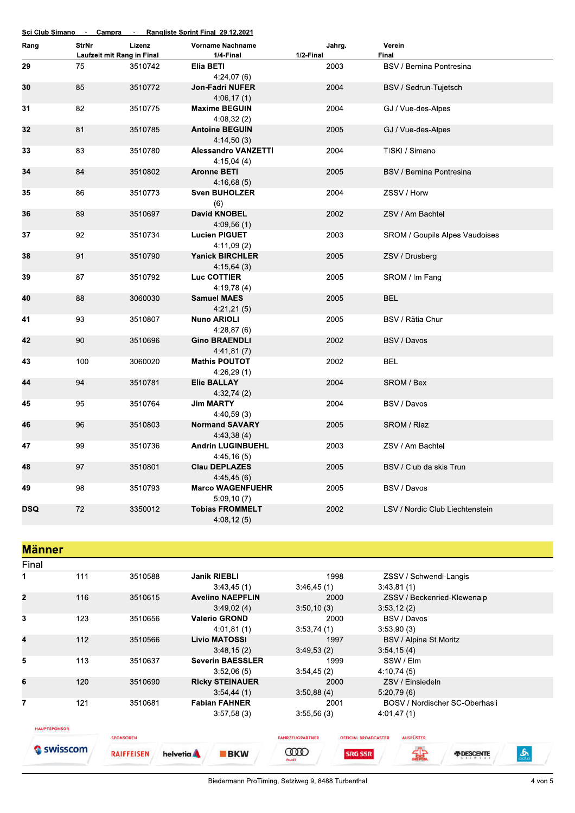|            |              |                            | Sci Club Simano - Campra - Rangliste Sprint Final 29.12.2021 |           |                                       |
|------------|--------------|----------------------------|--------------------------------------------------------------|-----------|---------------------------------------|
| Rang       | <b>StrNr</b> | Lizenz                     | <b>Vorname Nachname</b>                                      | Jahrg.    | Verein                                |
|            |              | Laufzeit mit Rang in Final | 1/4-Final                                                    | 1/2-Final | Final                                 |
| 29         | 75           | 3510742                    | Elia BETI<br>4:24,07(6)                                      | 2003      | BSV / Bernina Pontresina              |
| 30         | 85           | 3510772                    | <b>Jon-Fadri NUFER</b><br>4:06,17(1)                         | 2004      | BSV / Sedrun-Tujetsch                 |
| 31         | 82           | 3510775                    | <b>Maxime BEGUIN</b><br>4:08,32(2)                           | 2004      | GJ / Vue-des-Alpes                    |
| 32         | 81           | 3510785                    | <b>Antoine BEGUIN</b><br>4:14,50(3)                          | 2005      | GJ / Vue-des-Alpes                    |
| 33         | 83           | 3510780                    | <b>Alessandro VANZETTI</b><br>4:15,04(4)                     | 2004      | TISKI / Simano                        |
| 34         | 84           | 3510802                    | <b>Aronne BETI</b><br>4:16,68(5)                             | 2005      | <b>BSV / Bernina Pontresina</b>       |
| 35         | 86           | 3510773                    | <b>Sven BUHOLZER</b><br>(6)                                  | 2004      | ZSSV / Horw                           |
| 36         | 89           | 3510697                    | <b>David KNOBEL</b><br>4:09,56(1)                            | 2002      | ZSV / Am Bachtel                      |
| 37         | 92           | 3510734                    | <b>Lucien PIGUET</b><br>4:11,09(2)                           | 2003      | <b>SROM / Goupils Alpes Vaudoises</b> |
| 38         | 91           | 3510790                    | <b>Yanick BIRCHLER</b><br>4:15,64(3)                         | 2005      | ZSV / Drusberg                        |
| 39         | 87           | 3510792                    | Luc COTTIER<br>4:19,78(4)                                    | 2005      | SROM / Im Fang                        |
| 40         | 88           | 3060030                    | <b>Samuel MAES</b><br>4:21,21(5)                             | 2005      | <b>BEL</b>                            |
| 41         | 93           | 3510807                    | <b>Nuno ARIOLI</b><br>4:28,87(6)                             | 2005      | BSV / Rätia Chur                      |
| 42         | 90           | 3510696                    | <b>Gino BRAENDLI</b><br>4:41,81(7)                           | 2002      | BSV / Davos                           |
| 43         | 100          | 3060020                    | <b>Mathis POUTOT</b><br>4:26,29(1)                           | 2002      | <b>BEL</b>                            |
| 44         | 94           | 3510781                    | <b>Elie BALLAY</b><br>4:32,74(2)                             | 2004      | SROM / Bex                            |
| 45         | 95           | 3510764                    | <b>Jim MARTY</b><br>4:40,59(3)                               | 2004      | BSV / Davos                           |
| 46         | 96           | 3510803                    | <b>Normand SAVARY</b><br>4:43,38(4)                          | 2005      | SROM / Riaz                           |
| 47         | 99           | 3510736                    | <b>Andrin LUGINBUEHL</b><br>4:45,16(5)                       | 2003      | ZSV / Am Bachtel                      |
| 48         | 97           | 3510801                    | <b>Clau DEPLAZES</b><br>4:45,45(6)                           | 2005      | BSV / Club da skis Trun               |
| 49         | 98           | 3510793                    | <b>Marco WAGENFUEHR</b><br>5:09,10(7)                        | 2005      | BSV / Davos                           |
| <b>DSQ</b> | 72           | 3350012                    | <b>Tobias FROMMELT</b><br>4:08,12(5)                         | 2002      | LSV / Nordic Club Liechtenstein       |

**Männer** 

|                         | Final               |                   |                          |                               |                             |                             |                                |   |
|-------------------------|---------------------|-------------------|--------------------------|-------------------------------|-----------------------------|-----------------------------|--------------------------------|---|
| 1                       | 111                 | 3510588           | <b>Janik RIEBLI</b>      | 1998                          |                             | ZSSV / Schwendi-Langis      |                                |   |
|                         |                     |                   | 3:43,45(1)               | 3:46.45(1)                    |                             | 3:43,81(1)                  |                                |   |
| $\overline{2}$          | 116                 | 3510615           | <b>Avelino NAEPFLIN</b>  | 2000                          |                             | ZSSV / Beckenried-Klewenalp |                                |   |
|                         |                     |                   | 3:49,02(4)               | 3:50,10(3)                    |                             | 3.53, 12(2)                 |                                |   |
| 3                       | 123                 | 3510656           | <b>Valerio GROND</b>     |                               | BSV / Davos<br>2000         |                             |                                |   |
|                         |                     |                   | 4:01,81(1)               | 3:53,74(1)                    |                             | 3:53,90(3)                  |                                |   |
| $\overline{\mathbf{4}}$ | 112                 | 3510566           | <b>Livio MATOSSI</b>     | 1997                          |                             | BSV / Alpina St.Moritz      |                                |   |
|                         |                     |                   | 3:48,15(2)               | 3:49.53(2)                    |                             | 3:54,15(4)                  |                                |   |
| 5                       | 113                 | 3510637           | <b>Severin BAESSLER</b>  | 1999                          |                             | SSW / Elm                   |                                |   |
|                         |                     |                   | 3:52,06(5)               | 3:54,45(2)                    |                             | 4:10,74(5)                  |                                |   |
| 6                       | 120                 | 3510690           | <b>Ricky STEINAUER</b>   | 2000                          |                             | ZSV / Einsiedeln            |                                |   |
|                         |                     |                   | 3:54,44(1)               | 3:50,88(4)                    |                             | 5.20,79(6)                  |                                |   |
| 7                       | 121                 | 3510681           | <b>Fabian FAHNER</b>     | 2001                          |                             |                             | BOSV / Nordischer SC-Oberhasli |   |
|                         |                     |                   | 3:57,58(3)               | 3:55,56(3)                    |                             | 4:01,47(1)                  |                                |   |
|                         | <b>HAUPTSPONSOR</b> |                   |                          |                               |                             |                             |                                |   |
|                         |                     | <b>SPONSOREN</b>  |                          | <b><i>FAHRZEUGPARTNER</i></b> | <b>OFFICIAL BROADCASTER</b> | <b>AUSRÜSTER</b>            |                                |   |
|                         | ISSCOM              | <b>RAIFFEISEN</b> | helvetia A<br><b>BKW</b> | œo<br>Audi                    | <b>SRG SSR</b>              |                             |                                | க |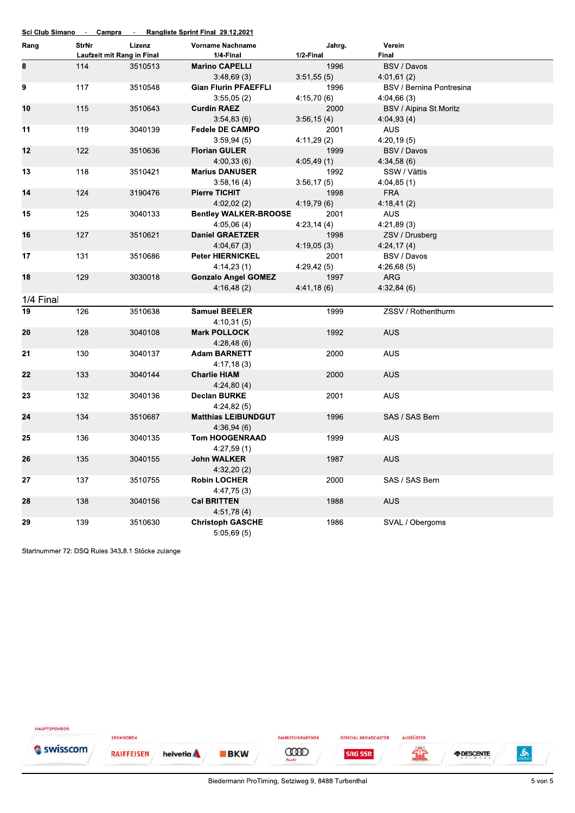| Rang      | StrNr | Lizenz                     | <b>Vorname Nachname</b>             | Jahrg.      | Verein                   |  |
|-----------|-------|----------------------------|-------------------------------------|-------------|--------------------------|--|
|           |       | Laufzeit mit Rang in Final | 1/4-Final                           | 1/2-Final   | Final                    |  |
| 8         | 114   | 3510513                    | <b>Marino CAPELLI</b>               | 1996        | BSV / Davos              |  |
|           |       |                            | 3:48,69(3)                          | 3:51,55(5)  | 4:01,61(2)               |  |
| 9         | 117   | 3510548                    | <b>Gian Flurin PFAEFFLI</b>         | 1996        | BSV / Bernina Pontresina |  |
|           |       |                            | 3:55,05(2)                          | 4:15,70 (6) | 4:04,66(3)               |  |
| 10        | 115   | 3510643                    | <b>Curdin RAEZ</b>                  | 2000        | BSV / Alpina St.Moritz   |  |
|           |       |                            | 3:54,83(6)                          | 3:56,15(4)  | 4:04,93(4)               |  |
| 11        | 119   | 3040139                    | <b>Fedele DE CAMPO</b>              | 2001        | AUS.                     |  |
|           |       |                            | 3:59,94(5)                          | 4:11,29 (2) | 4:20,19(5)               |  |
| 12        | 122   | 3510636                    | <b>Florian GULER</b>                | 1999        | BSV / Davos              |  |
|           |       |                            | 4:00,33(6)                          | 4:05,49(1)  | 4:34,58(6)               |  |
| 13        | 118   | 3510421                    | <b>Marius DANUSER</b>               | 1992        | SSW / Vättis             |  |
|           |       |                            | 3:58,16(4)                          | 3:56,17(5)  | 4:04,85(1)               |  |
| 14        | 124   | 3190476                    | Pierre TICHIT                       | 1998        | <b>FRA</b>               |  |
|           |       |                            | 4:02,02(2)                          | 4:19,79(6)  | 4:18,41(2)               |  |
| 15        | 125   | 3040133                    | <b>Bentley WALKER-BROOSE</b>        | 2001        | <b>AUS</b>               |  |
|           |       |                            | 4:05,06(4)                          | 4:23,14(4)  | 4:21,89(3)               |  |
| 16        | 127   | 3510621                    | <b>Daniel GRAETZER</b>              | 1998        | ZSV / Drusberg           |  |
|           |       |                            | 4:04,67(3)                          | 4:19,05(3)  | 4:24,17(4)               |  |
| 17        | 131   | 3510686                    | <b>Peter HIERNICKEL</b>             | 2001        | BSV / Davos              |  |
|           |       |                            | 4:14,23(1)                          | 4:29,42(5)  | 4:26,68(5)               |  |
| 18        | 129   | 3030018                    | <b>Gonzalo Angel GOMEZ</b>          | 1997        | ARG                      |  |
|           |       |                            | 4:16,48(2)                          | 4:41,18(6)  | 4:32,84(6)               |  |
| 1/4 Final |       |                            |                                     |             |                          |  |
| 19        | 126   | 3510638                    | <b>Samuel BEELER</b>                | 1999        | ZSSV / Rothenthurm       |  |
|           |       |                            | 4:10,31(5)                          |             |                          |  |
| 20        | 128   | 3040108                    | <b>Mark POLLOCK</b>                 | 1992        | <b>AUS</b>               |  |
|           |       |                            | 4:28,48(6)                          |             |                          |  |
| 21        | 130   | 3040137                    | <b>Adam BARNETT</b>                 | 2000        | AUS.                     |  |
|           |       |                            | 4:17,18(3)                          |             |                          |  |
| 22        | 133   | 3040144                    | <b>Charlie HIAM</b>                 | 2000        | <b>AUS</b>               |  |
|           |       |                            | 4:24,80(4)                          |             |                          |  |
| 23        | 132   | 3040136                    | <b>Declan BURKE</b>                 | 2001        | <b>AUS</b>               |  |
|           |       |                            | 4:24,82(5)                          |             |                          |  |
| 24        | 134   | 3510687                    | <b>Matthias LEIBUNDGUT</b>          | 1996        | SAS / SAS Bern           |  |
| 25        | 136   | 3040135                    | 4:36.94(6)<br><b>Tom HOOGENRAAD</b> | 1999        | <b>AUS</b>               |  |
|           |       |                            |                                     |             |                          |  |
| 26        | 135   | 3040155                    | 4:27,59 (1)<br><b>John WALKER</b>   | 1987        | AUS                      |  |
|           |       |                            | 4:32,20(2)                          |             |                          |  |
| 27        | 137   | 3510755                    | <b>Robin LOCHER</b>                 | 2000        | SAS / SAS Bern           |  |
|           |       |                            | 4:47,75(3)                          |             |                          |  |
| 28        | 138   | 3040156                    | <b>Cal BRITTEN</b>                  | 1988        | <b>AUS</b>               |  |
|           |       |                            | 4:51,78(4)                          |             |                          |  |
| 29        | 139   | 3510630                    | <b>Christoph GASCHE</b>             | 1986        | SVAL / Obergoms          |  |
|           |       |                            | 5:05,69(5)                          |             |                          |  |

Startnummer 72: DSQ Rules 343.8.1 Stöcke zulange

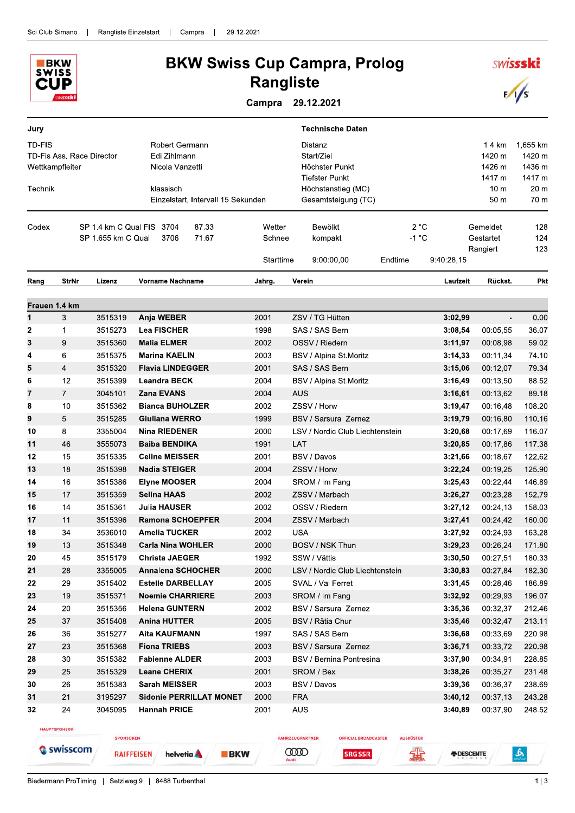

## **BKW Swiss Cup Campra, Prolog Rangliste**

Campra 29.12.2021

| Jury          |                                              |                                                 |                                                   |                                    |                  | <b>Technische Daten</b>                                          |                 |                    |                                   |                                        |
|---------------|----------------------------------------------|-------------------------------------------------|---------------------------------------------------|------------------------------------|------------------|------------------------------------------------------------------|-----------------|--------------------|-----------------------------------|----------------------------------------|
| TD-FIS        | TD-Fis Ass. Race Director<br>Wettkampfleiter |                                                 | Robert Germann<br>Edi Zihlmann<br>Nicola Vanzetti |                                    |                  | Distanz<br>Start/Ziel<br>Höchster Punkt<br><b>Tiefster Punkt</b> |                 |                    |                                   | 1,655 km<br>1420 m<br>1436 m<br>1417 m |
| Technik       |                                              |                                                 | klassisch                                         | Einzelstart, Intervall 15 Sekunden |                  | Höchstanstieg (MC)<br>Gesamtsteigung (TC)                        |                 |                    | 10 m<br>50 m                      | 20 <sub>m</sub><br>70 m                |
| Codex         |                                              | SP 1.4 km C Qual FIS 3704<br>SP 1.655 km C Qual | 3706                                              | 87.33<br>71.67                     | Wetter<br>Schnee | Bewölkt<br>kompakt                                               | 2 °C<br>$-1 °C$ |                    | Gemeldet<br>Gestartet<br>Rangiert | 128<br>124<br>123                      |
|               |                                              |                                                 |                                                   |                                    | Starttime        | 9:00:00,00                                                       | Endtime         | 9:40:28.15         |                                   |                                        |
| Rang          | <b>StrNr</b>                                 | Lizenz                                          | Vorname Nachname                                  |                                    | Jahrg.           | Verein                                                           |                 | Laufzeit           | Rückst.                           | <b>Pkt</b>                             |
| Frauen 1.4 km |                                              |                                                 |                                                   |                                    |                  |                                                                  |                 |                    |                                   |                                        |
| $\mathbf{1}$  | 3                                            | 3515319                                         | Anja WEBER                                        |                                    | 2001             | ZSV / TG Hütten                                                  |                 | 3:02,99            | $\overline{\phantom{a}}$          | 0.00                                   |
| 2             | 1                                            | 3515273                                         | <b>Lea FISCHER</b>                                |                                    | 1998             | SAS / SAS Bern                                                   |                 | 3:08,54            | 00:05,55                          | 36.07                                  |
| 3             | 9                                            | 3515360                                         | <b>Malia ELMER</b>                                |                                    | 2002             | OSSV / Riedern                                                   |                 | 3:11.97            | 00:08,98                          | 59.02                                  |
| 4             | 6                                            | 3515375                                         | <b>Marina KAELIN</b>                              |                                    | 2003             | BSV / Alpina St.Moritz                                           |                 | 3.14,33            | 00:11,34                          | 74.10                                  |
| 5             | 4                                            | 3515320                                         | <b>Flavia LINDEGGER</b>                           |                                    | 2001             | SAS / SAS Bern                                                   |                 | 3:15,06            | 00:12,07                          | 79.34                                  |
| 6             | 12                                           | 3515399                                         | <b>Leandra BECK</b>                               |                                    | 2004             | BSV / Alpina St.Moritz                                           |                 | 3:16,49            | 00:13,50                          | 88.52                                  |
| 7             | $\overline{7}$                               | 3045101                                         | <b>Zana EVANS</b>                                 |                                    | 2004             | <b>AUS</b>                                                       |                 | 3:16,61            | 00:13,62                          | 89.18                                  |
| 8             | 10                                           | 3515362                                         | <b>Bianca BUHOLZER</b>                            |                                    | 2002             | ZSSV / Horw                                                      |                 | 3:19,47            | 00:16,48                          | 108.20                                 |
| 9             | 5                                            | 3515285                                         | Giuliana WERRO                                    |                                    | 1999             | BSV / Sarsura Zernez                                             |                 | 3:19,79            | 00:16,80                          | 110.16                                 |
| 10            | 8                                            | 3355004                                         | <b>Nina RIEDENER</b>                              |                                    | 2000             | LSV / Nordic Club Liechtenstein                                  |                 | 3:20,68            | 00:17,69                          | 116.07                                 |
| 11            | 46                                           | 3555073                                         | <b>Baiba BENDIKA</b>                              |                                    | 1991             | LAT                                                              |                 | 3:20,85            | 00:17,86                          | 117.38                                 |
| 12            | 15                                           | 3515335                                         | <b>Celine MEISSER</b>                             |                                    | 2001             | BSV / Davos                                                      |                 | 3:21,66            | 00:18,67                          | 122.62                                 |
| 13            | 18                                           | 3515398                                         | <b>Nadia STEIGER</b>                              |                                    | 2004             | ZSSV / Horw                                                      |                 | 3:22,24            | 00:19,25                          | 125.90                                 |
| 14            | 16                                           | 3515386                                         | <b>Elyne MOOSER</b>                               |                                    | 2004             | SROM / Im Fang                                                   |                 | 3:25,43            | 00:22,44                          | 146.89                                 |
| 15            | 17                                           | 3515359                                         | <b>Selina HAAS</b>                                |                                    | 2002             | ZSSV / Marbach                                                   |                 | 3:26,27            | 00:23,28                          | 152.79                                 |
| 16            | 14                                           | 3515361                                         | <b>Julia HAUSER</b>                               |                                    | 2002             | OSSV / Riedern                                                   |                 | 3:27,12            | 00:24,13                          | 158.03                                 |
| 17            | 11                                           | 3515396                                         | <b>Ramona SCHOEPFER</b><br><b>Amelia TUCKER</b>   |                                    | 2004<br>2002     | ZSSV / Marbach<br><b>USA</b>                                     |                 | 3:27,41            | 00:24,42                          | 160.00                                 |
| 18<br>19      | 34<br>13                                     | 3536010<br>3515348                              | <b>Carla Nina WOHLER</b>                          |                                    | 2000             | BOSV / NSK Thun                                                  |                 | 3:27,92<br>3:29,23 | 00:24,93<br>00:26,24              | 163.28<br>171.80                       |
| ${\bf 20}$    | 45                                           | 3515179                                         | <b>Christa JAEGER</b>                             |                                    | 1992             | SSW / Vättis                                                     |                 | 3:30,50            | 00:27,51                          | 180.33                                 |
| 21            | 28                                           | 3355005                                         | <b>Annalena SCHOCHER</b>                          |                                    | 2000             | LSV / Nordic Club Liechtenstein                                  |                 | 3:30,83            | 00:27,84                          | 182.30                                 |
| 22            | 29                                           | 3515402                                         | <b>Estelle DARBELLAY</b>                          |                                    | 2005             | SVAL / Val Ferret                                                |                 | 3:31,45            | 00:28,46                          | 186.89                                 |
| 23            | 19                                           | 3515371                                         | <b>Noemie CHARRIERE</b>                           |                                    | 2003             | SROM / Im Fang                                                   |                 | 3:32,92            | 00:29,93                          | 196.07                                 |
| 24            | 20                                           | 3515356                                         | <b>Helena GUNTERN</b>                             |                                    | 2002             | BSV / Sarsura Zernez                                             |                 | 3:35,36            | 00:32,37                          | 212.46                                 |
| 25            | 37                                           | 3515408                                         | <b>Anina HUTTER</b>                               |                                    | 2005             | BSV / Ratia Chur                                                 |                 | 3:35,46            | 00:32,47                          | 213.11                                 |
| 26            | 36                                           | 3515277                                         | <b>Aita KAUFMANN</b>                              |                                    | 1997             | SAS / SAS Bern                                                   |                 | 3:36,68            | 00:33,69                          | 220.98                                 |
| 27            | 23                                           | 3515368                                         | <b>Fiona TRIEBS</b>                               |                                    | 2003             | BSV / Sarsura Zernez                                             |                 | 3:36,71            | 00:33,72                          | 220.98                                 |
| 28            | 30                                           | 3515382                                         | <b>Fabienne ALDER</b>                             |                                    | 2003             | BSV / Bernina Pontresina                                         |                 | 3:37,90            | 00:34,91                          | 228.85                                 |
| 29            | 25                                           | 3515329                                         | <b>Leane CHERIX</b>                               |                                    | 2001             | SROM / Bex                                                       |                 | 3:38,26            | 00:35.27                          | 231.48                                 |
| 30            | 26                                           | 3515383                                         | <b>Sarah MEISSER</b>                              |                                    | 2003             | BSV / Davos                                                      |                 | 3:39,36            | 00:36,37                          | 238.69                                 |
| 31            | 21                                           | 3195297                                         |                                                   | <b>Sidonie PERRILLAT MONET</b>     | 2000             | <b>FRA</b>                                                       |                 | 3:40,12            | 00:37,13                          | 243.28                                 |
| 32            | 24                                           | 3045095                                         | <b>Hannah PRICE</b>                               |                                    | 2001             | AUS                                                              |                 | 3:40,89            | 00:37,90                          | 248.52                                 |

HAUPTSPONSOR Swisscom

SPONSOREN **RAIFFEISEN** 

helvetia **A** 

**BKW** 

**CODO** 

**SRG SSR** 

FAHRZEUGPARTNER

**OFFICIAL BROADCASTER** 

AUSRÜSTER

编

*FIDESCENTE* 

Biedermann ProTiming | Setziweg 9 | 8488 Turbenthal

 $\mathbf{r}$ 

**SWISSSKI** 

 $\sqrt{s}$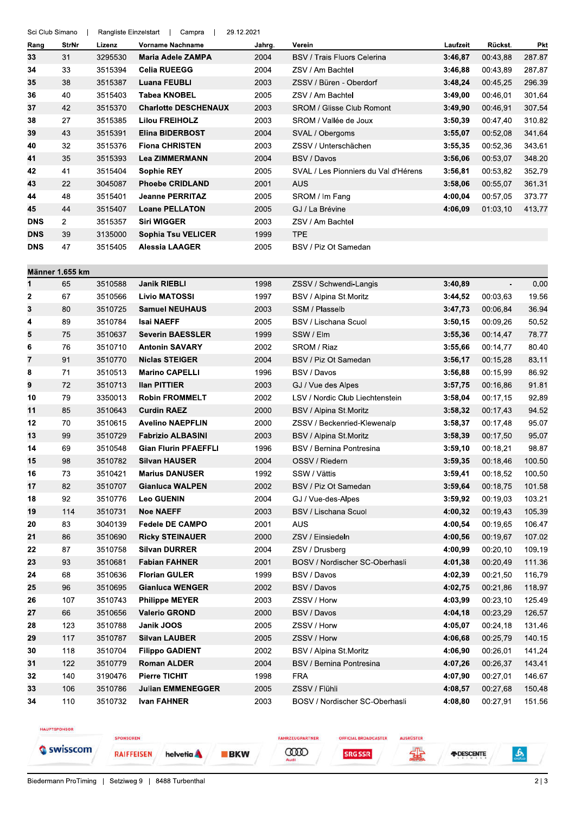| Rang       | StrNr           | Lizenz  | Vorname Nachname            | Jahrg. | Verein                               | Laufzeit | Rückst.        | <b>Pkt</b> |
|------------|-----------------|---------|-----------------------------|--------|--------------------------------------|----------|----------------|------------|
| 33         | 31              | 3295530 | Maria Adele ZAMPA           | 2004   | <b>BSV / Trais Fluors Celerina</b>   | 3:46,87  | 00:43,88       | 287.87     |
| 34         | 33              | 3515394 | <b>Celia RUEEGG</b>         | 2004   | ZSV / Am Bachtel                     | 3:46,88  | 00:43,89       | 287.87     |
| 35         | 38              | 3515387 | <b>Luana FEUBLI</b>         | 2003   | ZSSV / Büren - Oberdorf              | 3:48,24  | 00:45,25       | 296.39     |
| 36         | 40              | 3515403 | <b>Tabea KNOBEL</b>         | 2005   | ZSV / Am Bachtel                     | 3:49,00  | 00:46.01       | 301.64     |
| 37         | 42              | 3515370 | <b>Charlotte DESCHENAUX</b> | 2003   | <b>SROM / Glisse Club Romont</b>     | 3:49,90  | 00:46,91       | 307.54     |
| 38         | 27              | 3515385 | <b>Lilou FREIHOLZ</b>       | 2003   | SROM / Vallée de Joux                | 3:50,39  | 00:47,40       | 310.82     |
| 39         | 43              | 3515391 | <b>Elina BIDERBOST</b>      | 2004   | SVAL / Obergoms                      | 3:55,07  | 00:52,08       | 341.64     |
| 40         | 32              | 3515376 | <b>Fiona CHRISTEN</b>       | 2003   | ZSSV / Unterschächen                 | 3:55,35  | 00:52,36       | 343.61     |
| 41         | 35              | 3515393 | <b>Lea ZIMMERMANN</b>       | 2004   | BSV / Davos                          | 3:56,06  | 00:53,07       | 348.20     |
| 42         | 41              | 3515404 | <b>Sophie REY</b>           | 2005   | SVAL / Les Pionniers du Val d'Hérens | 3:56,81  | 00:53,82       | 352.79     |
| 43         | 22              | 3045087 | <b>Phoebe CRIDLAND</b>      | 2001   | <b>AUS</b>                           | 3:58,06  | 00:55,07       | 361.31     |
| 44         | 48              | 3515401 | <b>Jeanne PERRITAZ</b>      | 2005   | SROM / Im Fang                       | 4:00,04  | 00:57,05       | 373.77     |
| 45         | 44              | 3515407 | <b>Loane PELLATON</b>       | 2005   | GJ / La Brévine                      | 4:06,09  | 01:03,10       | 413.77     |
| <b>DNS</b> | $\overline{2}$  | 3515357 | <b>Siri WIGGER</b>          | 2003   | ZSV / Am Bachtel                     |          |                |            |
| <b>DNS</b> | 39              | 3135000 | <b>Sophia Tsu VELICER</b>   | 1999   | <b>TPE</b>                           |          |                |            |
| <b>DNS</b> | 47              | 3515405 | Alessia LAAGER              | 2005   | BSV / Piz Ot Samedan                 |          |                |            |
|            |                 |         |                             |        |                                      |          |                |            |
|            | Männer 1.655 km |         |                             |        |                                      |          |                |            |
| 1          | 65              | 3510588 | <b>Janik RIEBLI</b>         | 1998   | ZSSV / Schwendi-Langis               | 3:40,89  | $\blacksquare$ | 0.00       |
| 2          | 67              | 3510566 | <b>Livio MATOSSI</b>        | 1997   | BSV / Alpina St.Moritz               | 3.44,52  | 00:03,63       | 19.56      |
| 3          | 80              | 3510725 | <b>Samuel NEUHAUS</b>       | 2003   | SSM / Plasselb                       | 3:47,73  | 00:06,84       | 36.94      |
| 4          | 89              | 3510784 | <b>Isai NAEFF</b>           | 2005   | BSV / Lischana Scuol                 | 3:50,15  | 00:09,26       | 50.52      |
| 5          | 75              | 3510637 | <b>Severin BAESSLER</b>     | 1999   | SSW / Elm                            | 3:55,36  | 00:14,47       | 78.77      |
| 6          | 76              | 3510710 | <b>Antonin SAVARY</b>       | 2002   | SROM / Riaz                          | 3:55,66  | 00:14,77       | 80.40      |
| 7          | 91              | 3510770 | <b>Niclas STEIGER</b>       | 2004   | BSV / Piz Ot Samedan                 | 3:56,17  | 00:15,28       | 83.11      |
| 8          | 71              | 3510513 | <b>Marino CAPELLI</b>       | 1996   | BSV / Davos                          | 3:56,88  | 00:15,99       | 86.92      |
| 9          | 72              | 3510713 | <b>Ilan PITTIER</b>         | 2003   | GJ / Vue des Alpes                   | 3:57,75  | 00:16,86       | 91.81      |
| 10         | 79              | 3350013 | <b>Robin FROMMELT</b>       | 2002   | LSV / Nordic Club Liechtenstein      | 3:58,04  | 00:17,15       | 92.89      |
| 11         | 85              | 3510643 | <b>Curdin RAEZ</b>          | 2000   | BSV / Alpina St Moritz               | 3:58,32  | 00:17,43       | 94.52      |
| 12         | 70              | 3510615 | <b>Avelino NAEPFLIN</b>     | 2000   | ZSSV / Beckenried-Klewenalp          | 3:58,37  | 00:17,48       | 95.07      |
| 13         | 99              | 3510729 | <b>Fabrizio ALBASINI</b>    | 2003   | BSV / Alpina St.Moritz               | 3:58,39  | 00:17,50       | 95.07      |
| 14         | 69              | 3510548 | <b>Gian Flurin PFAEFFLI</b> | 1996   | BSV / Bernina Pontresina             | 3:59,10  | 00:18,21       | 98.87      |
| 15         | 98              | 3510782 | <b>Silvan HAUSER</b>        | 2004   | OSSV / Riedern                       | 3:59,35  | 00:18,46       | 100.50     |
| 16         | $73\,$          | 3510421 | <b>Marius DANUSER</b>       | 1992   | SSW / Vättis                         | 3:59,41  | 00:18,52       | 100.50     |
| 17         | 82              | 3510707 | <b>Gianluca WALPEN</b>      | 2002   | BSV / Piz Ot Samedan                 | 3:59,64  | 00:18,75       | 101.58     |
| 18         | 92              | 3510776 | <b>Leo GUENIN</b>           | 2004   | GJ / Vue-des-Alpes                   | 3:59,92  | 00:19,03       | 103.21     |
| 19         | 114             | 3510731 | <b>Noe NAEFF</b>            | 2003   | BSV / Lischana Scuol                 | 4:00,32  | 00:19,43       | 105.39     |
| 20         | 83              | 3040139 | <b>Fedele DE CAMPO</b>      | 2001   | <b>AUS</b>                           | 4:00,54  | 00:19,65       | 106.47     |
| 21         | 86              | 3510690 | <b>Ricky STEINAUER</b>      | 2000   | ZSV / Einsiedeln                     | 4:00,56  | 00:19,67       | 107.02     |
| 22         | 87              | 3510758 | <b>Silvan DURRER</b>        | 2004   | ZSV / Drusberg                       | 4:00,99  | 00:20,10       | 109.19     |
| 23         | 93              | 3510681 | <b>Fabian FAHNER</b>        | 2001   | BOSV / Nordischer SC-Oberhasli       | 4:01,38  | 00:20,49       | 111.36     |
| 24         | 68              | 3510636 | <b>Florian GULER</b>        | 1999   | BSV / Davos                          | 4:02,39  | 00:21.50       | 116.79     |
| 25         | 96              | 3510695 | <b>Gianluca WENGER</b>      | 2002   | BSV / Davos                          | 4:02,75  | 00:21,86       | 118.97     |
| 26         | 107             | 3510743 | <b>Philippe MEYER</b>       | 2003   | ZSSV / Horw                          | 4:03,99  | 00:23,10       | 125.49     |
| 27         | 66              | 3510656 | <b>Valerio GROND</b>        | 2000   | BSV / Davos                          | 4:04,18  | 00:23,29       | 126.57     |
| 28         | 123             | 3510788 | Janik JOOS                  | 2005   | ZSSV / Horw                          | 4:05,07  | 00:24,18       | 131.46     |
| 29         | 117             | 3510787 | <b>Silvan LAUBER</b>        | 2005   | ZSSV / Horw                          | 4:06,68  | 00:25,79       | 140.15     |
| 30         | 118             | 3510704 | <b>Filippo GADIENT</b>      | 2002   | BSV / Alpina St Moritz               | 4:06,90  | 00:26,01       | 141.24     |
| 31         | 122             | 3510779 | <b>Roman ALDER</b>          | 2004   | BSV / Bernina Pontresina             | 4:07,26  | 00:26,37       | 143.41     |
| 32         | 140             | 3190476 | <b>Pierre TICHIT</b>        | 1998   | <b>FRA</b>                           | 4:07,90  | 00:27,01       | 146.67     |
| 33         | 106             | 3510786 | <b>Julian EMMENEGGER</b>    | 2005   | ZSSV / Flühli                        | 4:08,57  | 00:27,68       | 150.48     |
| 34         | 110             | 3510732 | <b>Ivan FAHNER</b>          | 2003   | BOSV / Nordischer SC-Oberhasli       | 4:08,80  | 00:27,91       | 151.56     |

HAUPTSPONSOR

Swisscom

SPONSOREN

**RAIFFEISEN** helvetia A

Sci Club Simano | Rangliste Einzelstart | Campra | 29.12.2021

**BKW** 

**COOD SRG SSR** 

**OFFICIAL BROADCASTER** 

FAHRZEUGPARTNER

AUSRÜSTER 霏

*FIDESCENTE* 

Biedermann ProTiming | Setziweg 9 | 8488 Turbenthal

 $\frac{6}{200}$